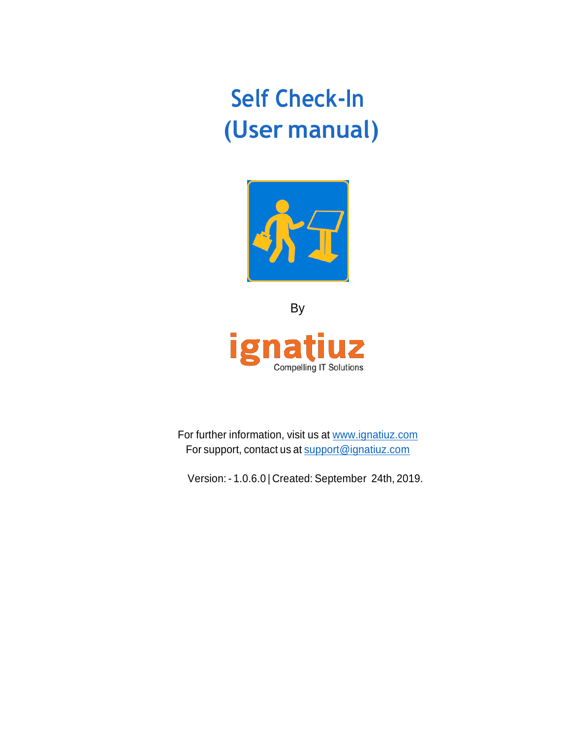## **Self Check-In (User manual)**



By ig **UZ** ra n **Compelling IT Solutions** 

For further information, visit us at [www.ignatiuz.com](http://www.ignatiuz.com/) For support, contact us at [support@ignatiuz.com](mailto:support@ignatiuz.com)

Version: - 1.0.6.0 | Created: September 24th, 2019.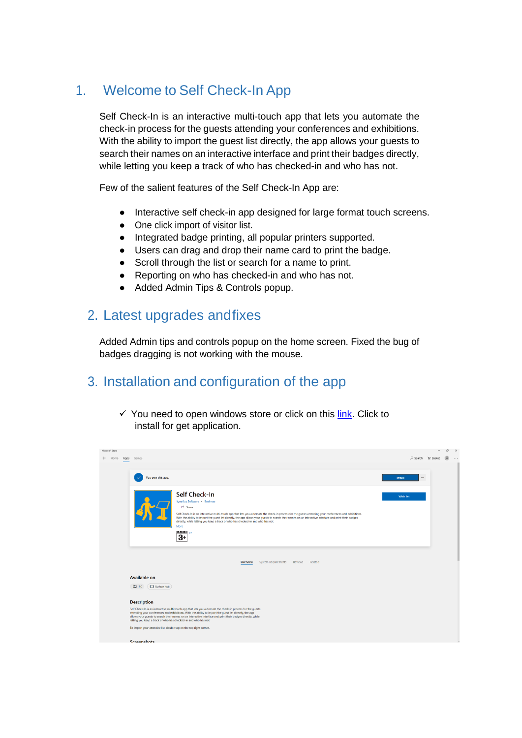## 1. Welcome to Self Check-In App

Self Check-In is an interactive multi-touch app that lets you automate the check-in process for the guests attending your conferences and exhibitions. With the ability to import the guest list directly, the app allows your guests to search their names on an interactive interface and print their badges directly, while letting you keep a track of who has checked-in and who has not.

Few of the salient features of the Self Check-In App are:

- Interactive self check-in app designed for large format touch screens.
- One click import of visitor list.
- Integrated badge printing, all popular printers supported.
- Users can drag and drop their name card to print the badge.
- Scroll through the list or search for a name to print.
- Reporting on who has checked-in and who has not.
- Added Admin Tips & Controls popup.

## 2. Latest upgrades andfixes

Added Admin tips and controls popup on the home screen. Fixed the bug of badges dragging is not working with the mouse.

## 3. Installation and configuration of the app

 $\checkmark$  You need to open windows store or click on this [link.](https://www.microsoft.com/en-us/p/self-check-in/9nwp89c3b9qt?activetab=pivot:overviewtab) Click to install for get application.

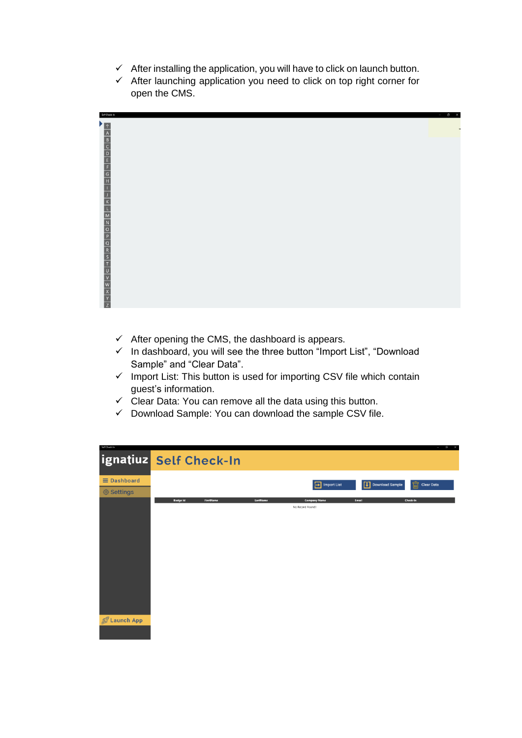- $\checkmark$  After installing the application, you will have to click on launch button.
- $\checkmark$  After launching application you need to click on top right corner for open the CMS.



- $\checkmark$  After opening the CMS, the dashboard is appears.
- $\checkmark$  In dashboard, you will see the three button "Import List", "Download Sample" and "Clear Data".
- $\checkmark$  Import List: This button is used for importing CSV file which contain guest's information.
- $\checkmark$  Clear Data: You can remove all the data using this button.
- $\checkmark$  Download Sample: You can download the sample CSV file.

| Self Check-In      |                        |                  |          |                                          |                     | $ \alpha$ $\times$     |
|--------------------|------------------------|------------------|----------|------------------------------------------|---------------------|------------------------|
|                    | ignatiuz Self Check-In |                  |          |                                          |                     |                        |
| $\equiv$ Dashboard |                        |                  |          | <b>Import List</b><br>Ð                  | [1] Download Sample | 氚<br><b>Clear Data</b> |
| <b>@ Settings</b>  |                        |                  |          |                                          |                     |                        |
|                    | <b>Badge Id</b>        | <b>FirstName</b> | LastName | <b>Company Name</b><br>No Record Found!! | Email               | Check-In               |
|                    |                        |                  |          |                                          |                     |                        |
|                    |                        |                  |          |                                          |                     |                        |
|                    |                        |                  |          |                                          |                     |                        |
|                    |                        |                  |          |                                          |                     |                        |
|                    |                        |                  |          |                                          |                     |                        |
|                    |                        |                  |          |                                          |                     |                        |
| 2 Launch App       |                        |                  |          |                                          |                     |                        |
|                    |                        |                  |          |                                          |                     |                        |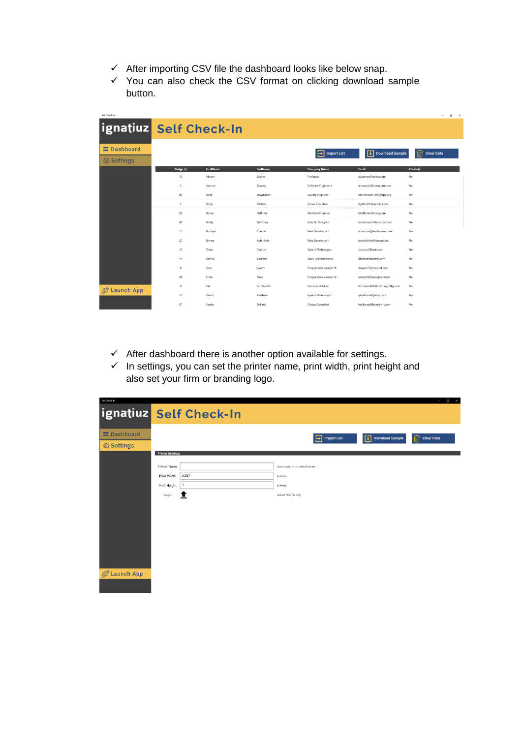- $\checkmark$  After importing CSV file the dashboard looks like below snap.
- $\checkmark$  You can also check the CSV format on clicking download sample button.

| Self Check-In                           |                  |                  |            |                            |                                | $\sim$                 | $\sigma$<br>$\times$ |
|-----------------------------------------|------------------|------------------|------------|----------------------------|--------------------------------|------------------------|----------------------|
| ignatiuz Self Check-In                  |                  |                  |            |                            |                                |                        |                      |
| $\equiv$ Dashboard<br><b>@ Settings</b> |                  |                  |            | <b>Import List</b><br>ы    | [1] Download Sample            | 侖<br><b>Clear Data</b> |                      |
|                                         | <b>Badge Id</b>  | <b>FirstName</b> | LastName   | <b>Company Name</b>        | Email                          | <b>Check-In</b>        |                      |
|                                         | 15               | Abram            | Bearns     | Professor                  | abearnse@opera.com             | No                     |                      |
|                                         | $\overline{a}$   | Annora           | Bewsey     | Software Engineer I        | abewsey2@vistaprint.com        | No                     |                      |
|                                         | 40               | Bank             | Bowmaker   | <b>Quality Engineer</b>    | bbowmaker18@gmpg.org           | No                     |                      |
|                                         | $\overline{c}$   | Benjy            | Yitzhok    | Junior Executive           | byitzhok1@spotify.com          | No                     |                      |
|                                         | 26               | Benny            | Halfhide   | <b>Electrical Engineer</b> | bhalfhides@bing.com            | No                     |                      |
|                                         | 43               | Biddy            | Newbury    | Graphic Designer           | bnewbury1c@amazon.com          | No                     |                      |
|                                         | 11               | Bobbye           | Corson     | Web Developer I            | bcorsona@feedburner.com        | No                     |                      |
|                                         | 27               | Brinna           | Rubinlicht | Web Developer I            | brubinlichtt@spiegel.de        | No                     |                      |
|                                         | 10 <sup>10</sup> | Claus            | Capron     | Speech Pathologist         | ccapron9@ask.com               | No                     |                      |
|                                         | 14               | Denna            | Battram    | Sales Representative       | dbattramd@mtv.com              | No                     |                      |
|                                         | 8                | Desi             | Sayers     | Programmer Analyst III     | dsayers7@pcworld.com           | No                     |                      |
|                                         | 38               | Emile            | Elsey      | Programmer Analyst IV      | eelsey16@google.com.br         | No                     |                      |
| <b><i>S</i></b> Launch App              | $\mathbf Q$      | Fair             | Arrowsmith | <b>Financial Advisor</b>   | farrowsmith8@cocolog-nifty.com | No                     |                      |
|                                         | 17               | Guido            | Baalham    | Speech Pathologist         | gbaalhamh@etsy.com             | No                     |                      |
|                                         | 31               | Hastie           | Taillard   | <b>Clinical Specialist</b> | htaillardz@bloglovin.com       | No                     |                      |

- $\checkmark$  After dashboard there is another option available for settings.
- $\checkmark$  In settings, you can set the printer name, print width, print height and also set your firm or branding logo.

| Self Chrek-In      |                         | $\circ$ $\times$<br>$\overline{\phantom{a}}$                                        |
|--------------------|-------------------------|-------------------------------------------------------------------------------------|
|                    | ignatiuz Self Check-In  |                                                                                     |
| $\equiv$ Dashboard |                         | 侖<br>凹<br>Download Sample<br>$\boxed{\rightarrow}$ Import List<br><b>Clear Data</b> |
| <b>@ Settings</b>  |                         |                                                                                     |
|                    | <b>Printer Settings</b> |                                                                                     |
|                    | Printer Name            | Leave empty to use default printer                                                  |
|                    | 3.927<br>Print Width    | In Inches                                                                           |
|                    | 1<br>Print Height       | In Inches                                                                           |
|                    | Logo<br><u>T</u>        | Upload PNG file only                                                                |
|                    |                         |                                                                                     |
|                    |                         |                                                                                     |
|                    |                         |                                                                                     |
|                    |                         |                                                                                     |
|                    |                         |                                                                                     |
|                    |                         |                                                                                     |
|                    |                         |                                                                                     |
| 2 Launch App       |                         |                                                                                     |
|                    |                         |                                                                                     |
|                    |                         |                                                                                     |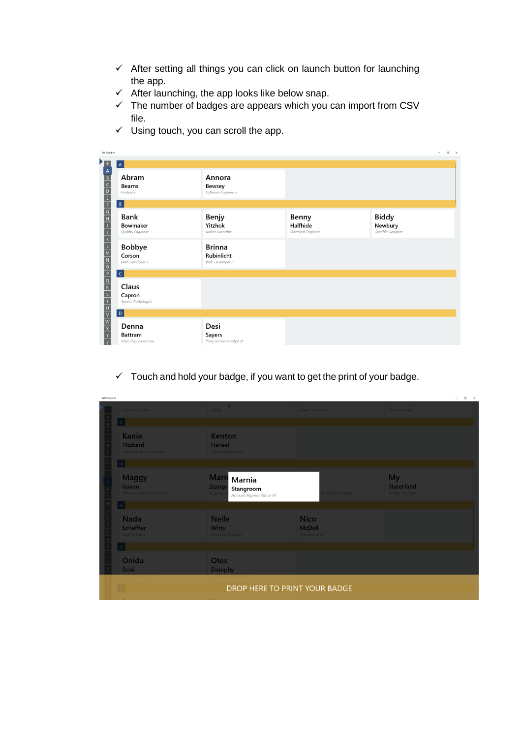- $\checkmark$  After setting all things you can click on launch button for launching the app.
- $\checkmark$  After launching, the app looks like below snap.
- $\checkmark$  The number of badges are appears which you can import from CSV file.
- $\checkmark$  Using touch, you can scroll the app.

| Self Check-In                                                                                                                                                                                                                                                                                             |                                                 |                                                |                                                 |                                             | $\overline{\phantom{a}}$ | $\sigma \quad \times$ |
|-----------------------------------------------------------------------------------------------------------------------------------------------------------------------------------------------------------------------------------------------------------------------------------------------------------|-------------------------------------------------|------------------------------------------------|-------------------------------------------------|---------------------------------------------|--------------------------|-----------------------|
|                                                                                                                                                                                                                                                                                                           | $\mathsf{A}$                                    |                                                |                                                 |                                             |                          |                       |
| $\frac{1}{2}$ x $\frac{1}{2}$ x $\frac{1}{2}$ x $\frac{1}{2}$ x $\frac{1}{2}$ x $\frac{1}{2}$ x $\frac{1}{2}$ x $\frac{1}{2}$ x $\frac{1}{2}$ x $\frac{1}{2}$ x $\frac{1}{2}$ x $\frac{1}{2}$ x $\frac{1}{2}$ x $\frac{1}{2}$ x $\frac{1}{2}$ x $\frac{1}{2}$ x $\frac{1}{2}$ x $\frac{1}{2}$ x $\frac{1$ | Abram<br><b>Bearns</b><br>Professor             | Annora<br>Bewsey<br>Software Engineer I        |                                                 |                                             |                          |                       |
|                                                                                                                                                                                                                                                                                                           | B                                               |                                                |                                                 |                                             |                          |                       |
|                                                                                                                                                                                                                                                                                                           | <b>Bank</b><br>Bowmaker<br>Quality Engineer     | Benjy<br>Yitzhok<br>Junior Executive           | Benny<br>Halfhide<br><b>Electrical Engineer</b> | <b>Biddy</b><br>Newbury<br>Graphic Designer |                          |                       |
|                                                                                                                                                                                                                                                                                                           | Bobbye<br>Corson<br>Web Developer I             | <b>Brinna</b><br>Rubinlicht<br>Web Developer I |                                                 |                                             |                          |                       |
|                                                                                                                                                                                                                                                                                                           | c                                               |                                                |                                                 |                                             |                          |                       |
|                                                                                                                                                                                                                                                                                                           | Claus<br>Capron<br>Speech Pathologist           |                                                |                                                 |                                             |                          |                       |
|                                                                                                                                                                                                                                                                                                           | D                                               |                                                |                                                 |                                             |                          |                       |
|                                                                                                                                                                                                                                                                                                           | Denna<br><b>Battram</b><br>Sales Representative | Desi<br>Sayers<br>Programmer Analyst III       |                                                 |                                             |                          |                       |

 $\checkmark$  Touch and hold your badge, if you want to get the print of your badge.

| Self Check-In |                                                                                    |                                                                                   |                                                       | $\sigma$<br>$\mathord{\times}$<br>$\overline{\phantom{a}}$ |
|---------------|------------------------------------------------------------------------------------|-----------------------------------------------------------------------------------|-------------------------------------------------------|------------------------------------------------------------|
|               | <b>Design Engineer</b>                                                             | <b>1999</b><br>Nurse                                                              | Data Coordiator                                       | <b>VP Accounting</b>                                       |
|               | $\vert$ K $\vert$                                                                  |                                                                                   |                                                       |                                                            |
|               | Kania<br><b>Titchard</b><br><b>Administrative Assistant I</b><br>$\vert$ M $\vert$ | <b>Kenton</b><br>Hansel<br><b>Chemical Engineer</b>                               |                                                       |                                                            |
|               | <b>Maggy</b><br>Gaven<br><b>Administrative Assistant III</b>                       | <b>Marn</b> Marnia<br>Stangr<br>Stangroom<br>Account<br>Account Representative IV | t Design manager                                      | <b>My</b><br>Staterfield<br><b>Design Engineer</b>         |
|               | $\lfloor N \rfloor$                                                                |                                                                                   |                                                       |                                                            |
|               | Nada<br>Scheffler<br><b>Staff Scientist</b>                                        | <b>Neile</b><br><b>Witty</b><br><b>Electrical Engineer</b>                        | <b>Nico</b><br><b>McDell</b><br><b>Accountant III</b> |                                                            |
|               | $\circ$                                                                            |                                                                                   |                                                       |                                                            |
|               | Onida<br><b>Dani</b>                                                               | <b>Otes</b><br>Dumphy                                                             |                                                       |                                                            |
|               | $\boxed{P}$                                                                        | DROP HERE TO PRINT YOUR BADGE                                                     |                                                       |                                                            |